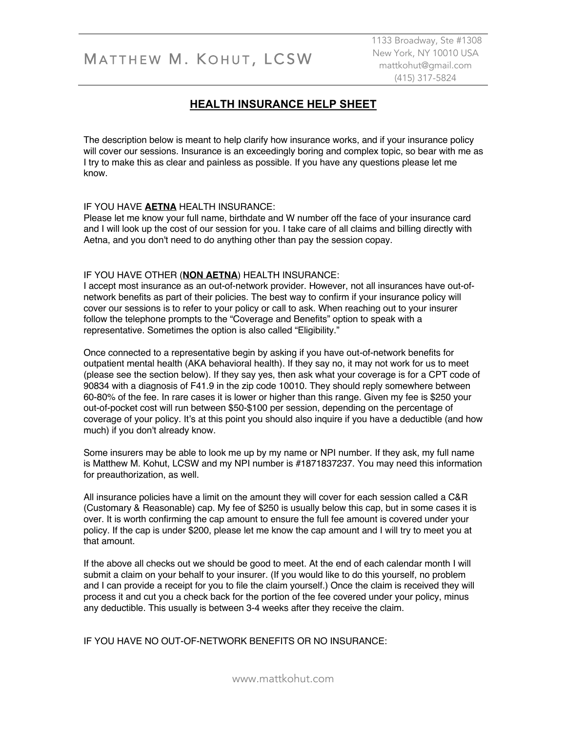# MATTHEW M. KOHUT, LCSW

1133 Broadway, Ste #1308 New York, NY 10010 USA mattkohut@gmail.com (415) 317-5824

### **HEALTH INSURANCE HELP SHEET**

The description below is meant to help clarify how insurance works, and if your insurance policy will cover our sessions. Insurance is an exceedingly boring and complex topic, so bear with me as I try to make this as clear and painless as possible. If you have any questions please let me know.

#### IF YOU HAVE **AETNA** HEALTH INSURANCE:

Please let me know your full name, birthdate and W number off the face of your insurance card and I will look up the cost of our session for you. I take care of all claims and billing directly with Aetna, and you don't need to do anything other than pay the session copay.

#### IF YOU HAVE OTHER (**NON AETNA**) HEALTH INSURANCE:

I accept most insurance as an out-of-network provider. However, not all insurances have out-ofnetwork benefits as part of their policies. The best way to confirm if your insurance policy will cover our sessions is to refer to your policy or call to ask. When reaching out to your insurer follow the telephone prompts to the "Coverage and Benefits" option to speak with a representative. Sometimes the option is also called "Eligibility."

Once connected to a representative begin by asking if you have out-of-network benefits for outpatient mental health (AKA behavioral health). If they say no, it may not work for us to meet (please see the section below). If they say yes, then ask what your coverage is for a CPT code of 90834 with a diagnosis of F41.9 in the zip code 10010. They should reply somewhere between 60-80% of the fee. In rare cases it is lower or higher than this range. Given my fee is \$250 your out-of-pocket cost will run between \$50-\$100 per session, depending on the percentage of coverage of your policy. It's at this point you should also inquire if you have a deductible (and how much) if you don't already know.

Some insurers may be able to look me up by my name or NPI number. If they ask, my full name is Matthew M. Kohut, LCSW and my NPI number is #1871837237. You may need this information for preauthorization, as well.

All insurance policies have a limit on the amount they will cover for each session called a C&R (Customary & Reasonable) cap. My fee of \$250 is usually below this cap, but in some cases it is over. It is worth confirming the cap amount to ensure the full fee amount is covered under your policy. If the cap is under \$200, please let me know the cap amount and I will try to meet you at that amount.

If the above all checks out we should be good to meet. At the end of each calendar month I will submit a claim on your behalf to your insurer. (If you would like to do this yourself, no problem and I can provide a receipt for you to file the claim yourself.) Once the claim is received they will process it and cut you a check back for the portion of the fee covered under your policy, minus any deductible. This usually is between 3-4 weeks after they receive the claim.

IF YOU HAVE NO OUT-OF-NETWORK BENEFITS OR NO INSURANCE: